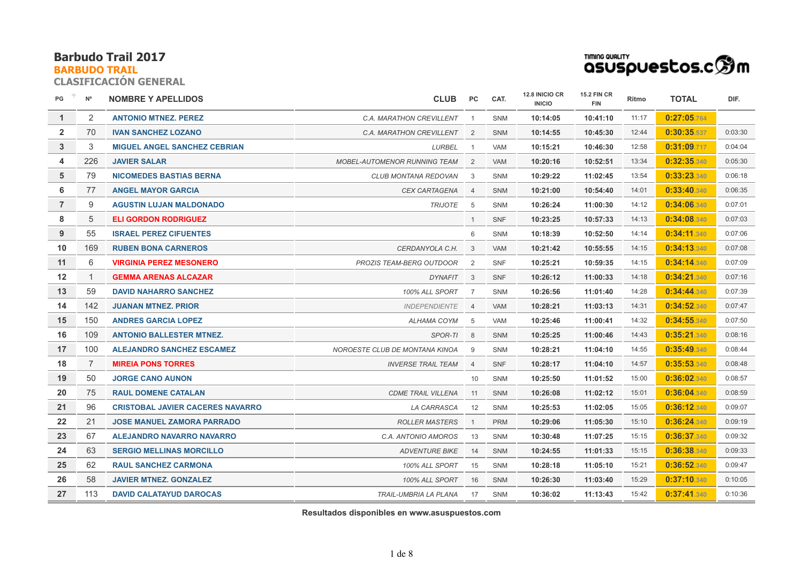## **BARBUDO TRAIL**

**CLASIFICACIÓN GENERAL**

| PG             | $N^{\circ}$    | <b>NOMBRE Y APELLIDOS</b>               | <b>CLUB</b>                         | PC.                     | CAT.       | 12.8 INICIO CR<br><b>INICIO</b> | <b>15.2 FIN CR</b><br><b>FIN</b> | Ritmo | <b>TOTAL</b> | DIF.    |
|----------------|----------------|-----------------------------------------|-------------------------------------|-------------------------|------------|---------------------------------|----------------------------------|-------|--------------|---------|
| $\mathbf{1}$   | $\overline{2}$ | <b>ANTONIO MTNEZ, PEREZ</b>             | C.A. MARATHON CREVILLENT            | $\overline{1}$          | <b>SNM</b> | 10:14:05                        | 10:41:10                         | 11:17 | 0:27:05.764  |         |
| $\overline{2}$ | 70             | <b>IVAN SANCHEZ LOZANO</b>              | C.A. MARATHON CREVILLENT            | $\overline{2}$          | <b>SNM</b> | 10:14:55                        | 10:45:30                         | 12:44 | 0:30:35.537  | 0:03:30 |
| 3              | 3              | <b>MIGUEL ANGEL SANCHEZ CEBRIAN</b>     | LURBEL                              | $\overline{1}$          | <b>VAM</b> | 10:15:21                        | 10:46:30                         | 12:58 | 0:31:09.717  | 0:04:04 |
| 4              | 226            | <b>JAVIER SALAR</b>                     | <b>MOBEL-AUTOMENOR RUNNING TEAM</b> | 2                       | <b>VAM</b> | 10:20:16                        | 10:52:51                         | 13:34 | 0:32:35.340  | 0:05:30 |
| 5              | 79             | <b>NICOMEDES BASTIAS BERNA</b>          | CLUB MONTANA REDOVAN                | 3                       | SNM        | 10:29:22                        | 11:02:45                         | 13:54 | 0:33:23.340  | 0:06:18 |
| 6              | 77             | <b>ANGEL MAYOR GARCIA</b>               | CEX CARTAGENA                       | $\overline{4}$          | <b>SNM</b> | 10:21:00                        | 10:54:40                         | 14:01 | 0:33:40.340  | 0:06:35 |
| $\overline{7}$ | 9              | <b>AGUSTIN LUJAN MALDONADO</b>          | <b>TRIJOTE</b>                      | 5                       | <b>SNM</b> | 10:26:24                        | 11:00:30                         | 14:12 | 0:34:06.340  | 0:07:01 |
| 8              | 5              | <b>ELI GORDON RODRIGUEZ</b>             |                                     | $\mathbf{1}$            | <b>SNF</b> | 10:23:25                        | 10:57:33                         | 14:13 | 0:34:08.340  | 0:07:03 |
| 9              | 55             | <b>ISRAEL PEREZ CIFUENTES</b>           |                                     | 6                       | SNM        | 10:18:39                        | 10:52:50                         | 14:14 | 0:34:11.340  | 0:07:06 |
| 10             | 169            | <b>RUBEN BONA CARNEROS</b>              | CERDANYOLA C.H.                     | 3                       | <b>VAM</b> | 10:21:42                        | 10:55:55                         | 14:15 | 0:34:13.340  | 0:07:08 |
| 11             | 6              | <b>VIRGINIA PEREZ MESONERO</b>          | <b>PROZIS TEAM-BERG OUTDOOR</b>     | $\overline{2}$          | <b>SNF</b> | 10:25:21                        | 10:59:35                         | 14:15 | 0:34:14.340  | 0:07:09 |
| 12             | 1              | <b>GEMMA ARENAS ALCAZAR</b>             | DYNAFIT                             | $\overline{\mathbf{3}}$ | <b>SNF</b> | 10:26:12                        | 11:00:33                         | 14:18 | 0:34:21.340  | 0:07:16 |
| 13             | 59             | <b>DAVID NAHARRO SANCHEZ</b>            | 100% ALL SPORT                      | $\overline{7}$          | SNM        | 10:26:56                        | 11:01:40                         | 14:28 | 0:34:44.340  | 0:07:39 |
| 14             | 142            | <b>JUANAN MTNEZ, PRIOR</b>              | <b>INDEPENDIENTE</b>                | $\overline{4}$          | <b>VAM</b> | 10:28:21                        | 11:03:13                         | 14:31 | 0:34:52.340  | 0:07:47 |
| 15             | 150            | <b>ANDRES GARCIA LOPEZ</b>              | ALHAMA COYM                         | 5                       | VAM        | 10:25:46                        | 11:00:41                         | 14:32 | 0:34:55.340  | 0:07:50 |
| 16             | 109            | <b>ANTONIO BALLESTER MTNEZ.</b>         | SPOR-TI                             | 8                       | <b>SNM</b> | 10:25:25                        | 11:00:46                         | 14:43 | 0:35:21.340  | 0:08:16 |
| 17             | 100            | <b>ALEJANDRO SANCHEZ ESCAMEZ</b>        | NOROESTE CLUB DE MONTANA KINOA      | 9                       | <b>SNM</b> | 10:28:21                        | 11:04:10                         | 14:55 | 0:35:49.340  | 0:08:44 |
| 18             | 7              | <b>MIREIA PONS TORRES</b>               | <b>INVERSE TRAIL TEAM</b>           | $\overline{4}$          | <b>SNF</b> | 10:28:17                        | 11:04:10                         | 14:57 | 0:35:53.340  | 0:08:48 |
| 19             | 50             | <b>JORGE CANO AUNON</b>                 |                                     | 10                      | SNM        | 10:25:50                        | 11:01:52                         | 15:00 | 0:36:02.340  | 0:08:57 |
| 20             | 75             | <b>RAUL DOMENE CATALAN</b>              | <b>CDME TRAIL VILLENA</b>           | 11                      | <b>SNM</b> | 10:26:08                        | 11:02:12                         | 15:01 | 0:36:04.340  | 0:08:59 |
| 21             | 96             | <b>CRISTOBAL JAVIER CACERES NAVARRO</b> | LA CARRASCA                         | 12                      | <b>SNM</b> | 10:25:53                        | 11:02:05                         | 15:05 | 0:36:12.340  | 0:09:07 |
| 22             | 21             | <b>JOSE MANUEL ZAMORA PARRADO</b>       | <b>ROLLER MASTERS</b>               | $\overline{1}$          | <b>PRM</b> | 10:29:06                        | 11:05:30                         | 15:10 | 0:36:24.340  | 0:09:19 |
| 23             | 67             | <b>ALEJANDRO NAVARRO NAVARRO</b>        | C.A. ANTONIO AMOROS                 | 13                      | SNM        | 10:30:48                        | 11:07:25                         | 15:15 | 0:36:37.340  | 0:09:32 |
| 24             | 63             | <b>SERGIO MELLINAS MORCILLO</b>         | <b>ADVENTURE BIKE</b>               | 14                      | <b>SNM</b> | 10:24:55                        | 11:01:33                         | 15:15 | 0:36:38.340  | 0:09:33 |
| 25             | 62             | <b>RAUL SANCHEZ CARMONA</b>             | <b>100% ALL SPORT</b>               | 15                      | <b>SNM</b> | 10:28:18                        | 11:05:10                         | 15:21 | 0:36:52.340  | 0:09:47 |
| 26             | 58             | <b>JAVIER MTNEZ. GONZALEZ</b>           | 100% ALL SPORT                      | 16                      | <b>SNM</b> | 10:26:30                        | 11:03:40                         | 15:29 | 0:37:10.340  | 0:10:05 |
| 27             | 113            | <b>DAVID CALATAYUD DAROCAS</b>          | TRAIL-UMBRIA LA PLANA               | 17                      | <b>SNM</b> | 10:36:02                        | 11:13:43                         | 15:42 | 0:37:41.340  | 0:10:36 |

**TIMING QUALITY**<br>QSUSPUEStos.c<sup>6</sup>m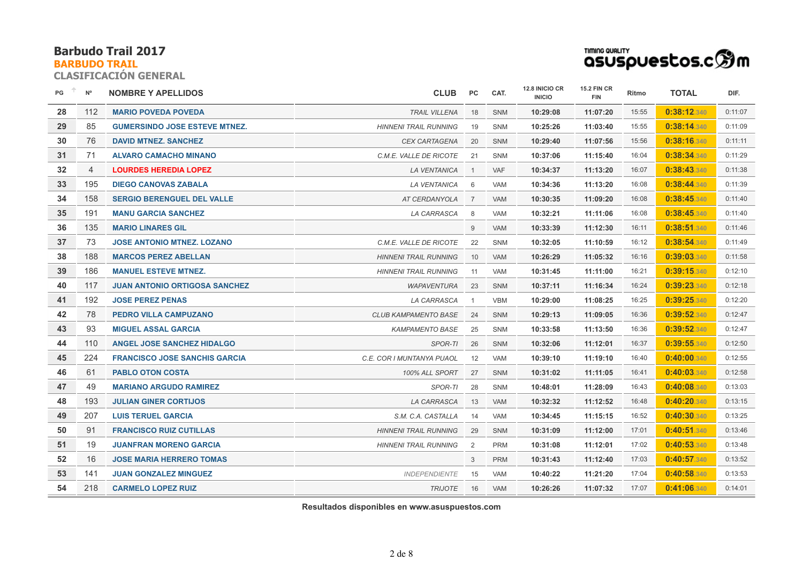## **BARBUDO TRAIL**

**CLASIFICACIÓN GENERAL**

| TIMING QUALITY                 |  |
|--------------------------------|--|
| asuspuestos.c $\mathfrak{B}$ m |  |

| PG | $N^{\circ}$    | <b>NOMBRE Y APELLIDOS</b>            | <b>CLUB</b>                  | PC                      | CAT.       | 12.8 INICIO CR<br><b>INICIO</b> | <b>15.2 FIN CR</b><br><b>FIN</b> | Ritmo | <b>TOTAL</b> | DIF.    |
|----|----------------|--------------------------------------|------------------------------|-------------------------|------------|---------------------------------|----------------------------------|-------|--------------|---------|
| 28 | 112            | <b>MARIO POVEDA POVEDA</b>           | <b>TRAIL VILLENA</b>         | 18                      | <b>SNM</b> | 10:29:08                        | 11:07:20                         | 15:55 | 0:38:12.340  | 0:11:07 |
| 29 | 85             | <b>GUMERSINDO JOSE ESTEVE MTNEZ.</b> | <b>HINNENI TRAIL RUNNING</b> | 19                      | <b>SNM</b> | 10:25:26                        | 11:03:40                         | 15:55 | 0:38:14.340  | 0:11:09 |
| 30 | 76             | <b>DAVID MTNEZ, SANCHEZ</b>          | <b>CEX CARTAGENA</b>         | 20                      | <b>SNM</b> | 10:29:40                        | 11:07:56                         | 15:56 | 0:38:16.340  | 0:11:11 |
| 31 | 71             | <b>ALVARO CAMACHO MINANO</b>         | C.M.E. VALLE DE RICOTE       | 21                      | SNM        | 10:37:06                        | 11:15:40                         | 16:04 | 0:38:34.340  | 0:11:29 |
| 32 | $\overline{4}$ | <b>LOURDES HEREDIA LOPEZ</b>         | LA VENTANICA                 | $\overline{\mathbf{1}}$ | <b>VAF</b> | 10:34:37                        | 11:13:20                         | 16:07 | 0:38:43.340  | 0:11:38 |
| 33 | 195            | <b>DIEGO CANOVAS ZABALA</b>          | <b>LA VENTANICA</b>          | - 6                     | <b>VAM</b> | 10:34:36                        | 11:13:20                         | 16:08 | 0:38:44.340  | 0:11:39 |
| 34 | 158            | <b>SERGIO BERENGUEL DEL VALLE</b>    | AT CERDANYOLA                | $\overline{7}$          | <b>VAM</b> | 10:30:35                        | 11:09:20                         | 16:08 | 0:38:45.340  | 0:11:40 |
| 35 | 191            | <b>MANU GARCIA SANCHEZ</b>           | LA CARRASCA                  | - 8                     | <b>VAM</b> | 10:32:21                        | 11:11:06                         | 16:08 | 0:38:45.340  | 0:11:40 |
| 36 | 135            | <b>MARIO LINARES GIL</b>             |                              | 9                       | <b>VAM</b> | 10:33:39                        | 11:12:30                         | 16:11 | 0:38:51.340  | 0:11:46 |
| 37 | 73             | <b>JOSE ANTONIO MTNEZ, LOZANO</b>    | C.M.E. VALLE DE RICOTE       | 22                      | <b>SNM</b> | 10:32:05                        | 11:10:59                         | 16:12 | 0:38:54.340  | 0:11:49 |
| 38 | 188            | <b>MARCOS PEREZ ABELLAN</b>          | <b>HINNENI TRAIL RUNNING</b> | 10                      | <b>VAM</b> | 10:26:29                        | 11:05:32                         | 16:16 | 0:39:03.340  | 0:11:58 |
| 39 | 186            | <b>MANUEL ESTEVE MTNEZ.</b>          | <b>HINNENI TRAIL RUNNING</b> | 11                      | <b>VAM</b> | 10:31:45                        | 11:11:00                         | 16:21 | 0:39:15.340  | 0:12:10 |
| 40 | 117            | <b>JUAN ANTONIO ORTIGOSA SANCHEZ</b> | <b>WAPAVENTURA</b>           | 23                      | SNM        | 10:37:11                        | 11:16:34                         | 16:24 | 0:39:23.340  | 0:12:18 |
| 41 | 192            | <b>JOSE PEREZ PENAS</b>              | LA CARRASCA                  |                         | <b>VBM</b> | 10:29:00                        | 11:08:25                         | 16:25 | 0:39:25.340  | 0:12:20 |
| 42 | 78             | PEDRO VILLA CAMPUZANO                | CLUB KAMPAMENTO BASE         | 24                      | SNM        | 10:29:13                        | 11:09:05                         | 16:36 | 0:39:52.340  | 0:12:47 |
| 43 | 93             | <b>MIGUEL ASSAL GARCIA</b>           | <b>KAMPAMENTO BASE</b>       | 25                      | <b>SNM</b> | 10:33:58                        | 11:13:50                         | 16:36 | 0:39:52.340  | 0:12:47 |
| 44 | 110            | <b>ANGEL JOSE SANCHEZ HIDALGO</b>    | SPOR-TI                      | 26                      | SNM        | 10:32:06                        | 11:12:01                         | 16:37 | 0:39:55.340  | 0:12:50 |
| 45 | 224            | <b>FRANCISCO JOSE SANCHIS GARCIA</b> | C.E. COR I MUNTANYA PUAOL    | 12                      | <b>VAM</b> | 10:39:10                        | 11:19:10                         | 16:40 | 0:40:00.340  | 0:12:55 |
| 46 | 61             | <b>PABLO OTON COSTA</b>              | 100% ALL SPORT               | 27                      | <b>SNM</b> | 10:31:02                        | 11:11:05                         | 16:41 | 0:40:03.340  | 0:12:58 |
| 47 | 49             | <b>MARIANO ARGUDO RAMIREZ</b>        | SPOR-TI                      | 28                      | SNM        | 10:48:01                        | 11:28:09                         | 16:43 | 0:40:08.340  | 0:13:03 |
| 48 | 193            | <b>JULIAN GINER CORTIJOS</b>         | LA CARRASCA                  | 13                      | <b>VAM</b> | 10:32:32                        | 11:12:52                         | 16:48 | 0:40:20.340  | 0:13:15 |
| 49 | 207            | <b>LUIS TERUEL GARCIA</b>            | S.M. C.A. CASTALLA           | 14                      | <b>VAM</b> | 10:34:45                        | 11:15:15                         | 16:52 | 0:40:30.340  | 0:13:25 |
| 50 | 91             | <b>FRANCISCO RUIZ CUTILLAS</b>       | <b>HINNENI TRAIL RUNNING</b> | 29                      | SNM        | 10:31:09                        | 11:12:00                         | 17:01 | 0:40:51.340  | 0:13:46 |
| 51 | 19             | <b>JUANFRAN MORENO GARCIA</b>        | <b>HINNENI TRAIL RUNNING</b> | 2                       | <b>PRM</b> | 10:31:08                        | 11:12:01                         | 17:02 | 0:40:53.340  | 0:13:48 |
| 52 | 16             | <b>JOSE MARIA HERRERO TOMAS</b>      |                              | 3                       | <b>PRM</b> | 10:31:43                        | 11:12:40                         | 17:03 | 0:40:57.340  | 0:13:52 |
| 53 | 141            | <b>JUAN GONZALEZ MINGUEZ</b>         | <b>INDEPENDIENTE</b>         | 15                      | <b>VAM</b> | 10:40:22                        | 11:21:20                         | 17:04 | 0:40:58.340  | 0:13:53 |
| 54 | 218            | <b>CARMELO LOPEZ RUIZ</b>            | <b>TRIJOTE</b>               | 16                      | <b>VAM</b> | 10:26:26                        | 11:07:32                         | 17:07 | 0:41:06.340  | 0:14:01 |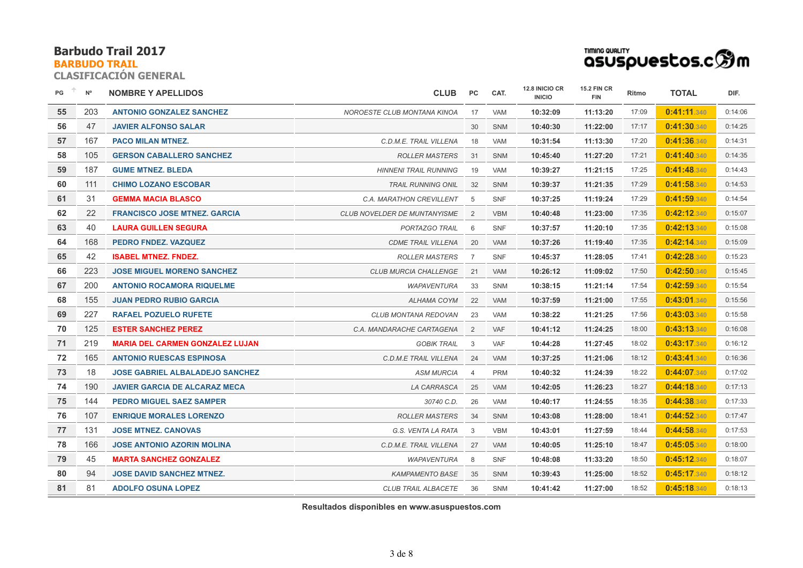## **BARBUDO TRAIL**

**CLASIFICACIÓN GENERAL**

| TIMING QUALITY |                                                         |
|----------------|---------------------------------------------------------|
|                | asuspuestos.c $\mathbin{\widehat{\otimes}}\mathfrak{m}$ |

| PG | $N^{\circ}$ | <b>NOMBRE Y APELLIDOS</b>              | <b>CLUB</b>                  | PC             | CAT.       | 12.8 INICIO CR<br><b>INICIO</b> | <b>15.2 FIN CR</b><br><b>FIN</b> | Ritmo | <b>TOTAL</b> | DIF.    |
|----|-------------|----------------------------------------|------------------------------|----------------|------------|---------------------------------|----------------------------------|-------|--------------|---------|
| 55 | 203         | <b>ANTONIO GONZALEZ SANCHEZ</b>        | NOROESTE CLUB MONTANA KINOA  | 17             | <b>VAM</b> | 10:32:09                        | 11:13:20                         | 17:09 | 0:41:11.340  | 0:14:06 |
| 56 | 47          | <b>JAVIER ALFONSO SALAR</b>            |                              | 30             | <b>SNM</b> | 10:40:30                        | 11:22:00                         | 17:17 | 0:41:30.340  | 0:14:25 |
| 57 | 167         | <b>PACO MILAN MTNEZ.</b>               | C.D.M.E. TRAIL VILLENA       | 18             | <b>VAM</b> | 10:31:54                        | 11:13:30                         | 17:20 | 0:41:36.340  | 0:14:31 |
| 58 | 105         | <b>GERSON CABALLERO SANCHEZ</b>        | <b>ROLLER MASTERS</b>        | 31             | <b>SNM</b> | 10:45:40                        | 11:27:20                         | 17:21 | 0:41:40.340  | 0:14:35 |
| 59 | 187         | <b>GUME MTNEZ. BLEDA</b>               | <b>HINNENI TRAIL RUNNING</b> | 19             | <b>VAM</b> | 10:39:27                        | 11:21:15                         | 17:25 | 0:41:48.340  | 0:14:43 |
| 60 | 111         | <b>CHIMO LOZANO ESCOBAR</b>            | <b>TRAIL RUNNING ONIL</b>    | 32             | <b>SNM</b> | 10:39:37                        | 11:21:35                         | 17:29 | 0:41:58.340  | 0:14:53 |
| 61 | 31          | <b>GEMMA MACIA BLASCO</b>              | C.A. MARATHON CREVILLENT     | - 5            | SNF        | 10:37:25                        | 11:19:24                         | 17:29 | 0:41:59.340  | 0:14:54 |
| 62 | 22          | <b>FRANCISCO JOSE MTNEZ, GARCIA</b>    | CLUB NOVELDER DE MUNTANYISME | $\overline{2}$ | <b>VBM</b> | 10:40:48                        | 11:23:00                         | 17:35 | 0:42:12.340  | 0:15:07 |
| 63 | 40          | <b>LAURA GUILLEN SEGURA</b>            | PORTAZGO TRAIL               | 6              | <b>SNF</b> | 10:37:57                        | 11:20:10                         | 17:35 | 0:42:13.340  | 0:15:08 |
| 64 | 168         | PEDRO FNDEZ, VAZQUEZ                   | <b>CDME TRAIL VILLENA</b>    | 20             | VAM        | 10:37:26                        | 11:19:40                         | 17:35 | 0:42:14.340  | 0:15:09 |
| 65 | 42          | <b>ISABEL MTNEZ. FNDEZ.</b>            | <b>ROLLER MASTERS</b>        | 7              | <b>SNF</b> | 10:45:37                        | 11:28:05                         | 17:41 | 0:42:28.340  | 0:15:23 |
| 66 | 223         | <b>JOSE MIGUEL MORENO SANCHEZ</b>      | <b>CLUB MURCIA CHALLENGE</b> | 21             | <b>VAM</b> | 10:26:12                        | 11:09:02                         | 17:50 | 0:42:50.340  | 0:15:45 |
| 67 | 200         | <b>ANTONIO ROCAMORA RIQUELME</b>       | <b>WAPAVENTURA</b>           | 33             | SNM        | 10:38:15                        | 11:21:14                         | 17:54 | 0:42:59.340  | 0:15:54 |
| 68 | 155         | <b>JUAN PEDRO RUBIO GARCIA</b>         | ALHAMA COYM                  | 22             | <b>VAM</b> | 10:37:59                        | 11:21:00                         | 17:55 | 0:43:01.340  | 0:15:56 |
| 69 | 227         | <b>RAFAEL POZUELO RUFETE</b>           | <b>CLUB MONTANA REDOVAN</b>  | 23             | VAM        | 10:38:22                        | 11:21:25                         | 17:56 | 0:43:03.340  | 0:15:58 |
| 70 | 125         | <b>ESTER SANCHEZ PEREZ</b>             | C.A. MANDARACHE CARTAGENA    | 2              | <b>VAF</b> | 10:41:12                        | 11:24:25                         | 18:00 | 0:43:13.340  | 0:16:08 |
| 71 | 219         | <b>MARIA DEL CARMEN GONZALEZ LUJAN</b> | <b>GOBIK TRAIL</b>           | 3              | VAF        | 10:44:28                        | 11:27:45                         | 18:02 | 0:43:17.340  | 0:16:12 |
| 72 | 165         | <b>ANTONIO RUESCAS ESPINOSA</b>        | C.D.M.E TRAIL VILLENA        | 24             | <b>VAM</b> | 10:37:25                        | 11:21:06                         | 18:12 | 0:43:41.340  | 0:16:36 |
| 73 | 18          | <b>JOSE GABRIEL ALBALADEJO SANCHEZ</b> | <b>ASM MURCIA</b>            | $\overline{4}$ | <b>PRM</b> | 10:40:32                        | 11:24:39                         | 18:22 | 0:44:07.340  | 0:17:02 |
| 74 | 190         | <b>JAVIER GARCIA DE ALCARAZ MECA</b>   | LA CARRASCA                  | 25             | <b>VAM</b> | 10:42:05                        | 11:26:23                         | 18:27 | 0:44:18.340  | 0:17:13 |
| 75 | 144         | <b>PEDRO MIGUEL SAEZ SAMPER</b>        | 30740 C.D.                   | 26             | <b>VAM</b> | 10:40:17                        | 11:24:55                         | 18:35 | 0:44:38.340  | 0:17:33 |
| 76 | 107         | <b>ENRIQUE MORALES LORENZO</b>         | <b>ROLLER MASTERS</b>        | 34             | <b>SNM</b> | 10:43:08                        | 11:28:00                         | 18:41 | 0:44:52.340  | 0:17:47 |
| 77 | 131         | <b>JOSE MTNEZ, CANOVAS</b>             | G.S. VENTA LA RATA           | 3              | <b>VBM</b> | 10:43:01                        | 11:27:59                         | 18:44 | 0:44:58.340  | 0:17:53 |
| 78 | 166         | <b>JOSE ANTONIO AZORIN MOLINA</b>      | C.D.M.E. TRAIL VILLENA       | 27             | <b>VAM</b> | 10:40:05                        | 11:25:10                         | 18:47 | 0:45:05.340  | 0:18:00 |
| 79 | 45          | <b>MARTA SANCHEZ GONZALEZ</b>          | <b>WAPAVENTURA</b>           | 8              | <b>SNF</b> | 10:48:08                        | 11:33:20                         | 18:50 | 0:45:12.340  | 0:18:07 |
| 80 | 94          | <b>JOSE DAVID SANCHEZ MTNEZ.</b>       | <b>KAMPAMENTO BASE</b>       | 35             | <b>SNM</b> | 10:39:43                        | 11:25:00                         | 18:52 | 0:45:17.340  | 0:18:12 |
| 81 | 81          | <b>ADOLFO OSUNA LOPEZ</b>              | <b>CLUB TRAIL ALBACETE</b>   | 36             | <b>SNM</b> | 10:41:42                        | 11:27:00                         | 18:52 | 0:45:18.340  | 0:18:13 |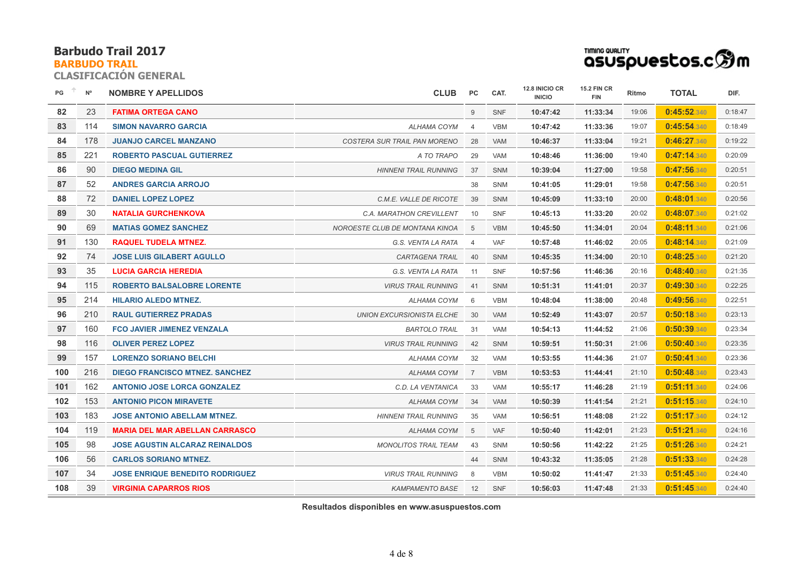## **BARBUDO TRAIL**

**CLASIFICACIÓN GENERAL**

| TIMING QUALITY                 |  |
|--------------------------------|--|
| asuspuestos.c $\mathfrak{B}$ m |  |

| PG  | $\mathsf{N}^\mathsf{o}$ | <b>NOMBRE Y APELLIDOS</b>              | <b>CLUB</b>                         | <b>PC</b>      | CAT.       | 12.8 INICIO CR<br><b>INICIO</b> | <b>15.2 FIN CR</b><br><b>FIN</b> | Ritmo | <b>TOTAL</b> | DIF.    |
|-----|-------------------------|----------------------------------------|-------------------------------------|----------------|------------|---------------------------------|----------------------------------|-------|--------------|---------|
| 82  | 23                      | <b>FATIMA ORTEGA CANO</b>              |                                     | 9              | <b>SNF</b> | 10:47:42                        | 11:33:34                         | 19:06 | 0:45:52.340  | 0:18:47 |
| 83  | 114                     | <b>SIMON NAVARRO GARCIA</b>            | <b>ALHAMA COYM</b>                  | $\overline{4}$ | <b>VBM</b> | 10:47:42                        | 11:33:36                         | 19:07 | 0:45:54.340  | 0:18:49 |
| 84  | 178                     | <b>JUANJO CARCEL MANZANO</b>           | <b>COSTERA SUR TRAIL PAN MORENO</b> | 28             | <b>VAM</b> | 10:46:37                        | 11:33:04                         | 19:21 | 0:46:27.340  | 0:19:22 |
| 85  | 221                     | <b>ROBERTO PASCUAL GUTIERREZ</b>       | A TO TRAPO                          | 29             | <b>VAM</b> | 10:48:46                        | 11:36:00                         | 19:40 | 0:47:14.340  | 0:20:09 |
| 86  | 90                      | <b>DIEGO MEDINA GIL</b>                | <b>HINNENI TRAIL RUNNING</b>        | 37             | <b>SNM</b> | 10:39:04                        | 11:27:00                         | 19:58 | 0:47:56.340  | 0:20:51 |
| 87  | 52                      | <b>ANDRES GARCIA ARROJO</b>            |                                     | 38             | SNM        | 10:41:05                        | 11:29:01                         | 19:58 | 0:47:56.340  | 0:20:51 |
| 88  | 72                      | <b>DANIEL LOPEZ LOPEZ</b>              | C.M.E. VALLE DE RICOTE              | 39             | <b>SNM</b> | 10:45:09                        | 11:33:10                         | 20:00 | 0:48:01.340  | 0:20:56 |
| 89  | 30                      | <b>NATALIA GURCHENKOVA</b>             | C.A. MARATHON CREVILLENT            | 10             | SNF        | 10:45:13                        | 11:33:20                         | 20:02 | 0:48:07.340  | 0:21:02 |
| 90  | 69                      | <b>MATIAS GOMEZ SANCHEZ</b>            | NOROESTE CLUB DE MONTANA KINOA      | 5              | <b>VBM</b> | 10:45:50                        | 11:34:01                         | 20:04 | 0:48:11.340  | 0:21:06 |
| 91  | 130                     | <b>RAQUEL TUDELA MTNEZ.</b>            | G.S. VENTA LA RATA                  | $\overline{4}$ | VAF        | 10:57:48                        | 11:46:02                         | 20:05 | 0:48:14.340  | 0:21:09 |
| 92  | 74                      | <b>JOSE LUIS GILABERT AGULLO</b>       | <b>CARTAGENA TRAIL</b>              | 40             | <b>SNM</b> | 10:45:35                        | 11:34:00                         | 20:10 | 0:48:25.340  | 0:21:20 |
| 93  | 35                      | <b>LUCIA GARCIA HEREDIA</b>            | G.S. VENTA LA RATA                  | 11             | <b>SNF</b> | 10:57:56                        | 11:46:36                         | 20:16 | 0:48:40.340  | 0:21:35 |
| 94  | 115                     | <b>ROBERTO BALSALOBRE LORENTE</b>      | <b>VIRUS TRAIL RUNNING</b>          | 41             | <b>SNM</b> | 10:51:31                        | 11:41:01                         | 20:37 | 0:49:30.340  | 0:22:25 |
| 95  | 214                     | <b>HILARIO ALEDO MTNEZ.</b>            | ALHAMA COYM                         | 6              | <b>VBM</b> | 10:48:04                        | 11:38:00                         | 20:48 | 0:49:56.340  | 0:22:51 |
| 96  | 210                     | <b>RAUL GUTIERREZ PRADAS</b>           | <b>UNION EXCURSIONISTA ELCHE</b>    | 30             | <b>VAM</b> | 10:52:49                        | 11:43:07                         | 20:57 | 0:50:18.340  | 0:23:13 |
| 97  | 160                     | <b>FCO JAVIER JIMENEZ VENZALA</b>      | <b>BARTOLO TRAIL</b>                | 31             | <b>VAM</b> | 10:54:13                        | 11:44:52                         | 21:06 | 0:50:39.340  | 0:23:34 |
| 98  | 116                     | <b>OLIVER PEREZ LOPEZ</b>              | <b>VIRUS TRAIL RUNNING</b>          | 42             | <b>SNM</b> | 10:59:51                        | 11:50:31                         | 21:06 | 0:50:40.340  | 0:23:35 |
| 99  | 157                     | <b>LORENZO SORIANO BELCHI</b>          | ALHAMA COYM                         | 32             | <b>VAM</b> | 10:53:55                        | 11:44:36                         | 21:07 | 0:50:41.340  | 0:23:36 |
| 100 | 216                     | <b>DIEGO FRANCISCO MTNEZ, SANCHEZ</b>  | <b>ALHAMA COYM</b>                  | $\overline{7}$ | <b>VBM</b> | 10:53:53                        | 11:44:41                         | 21:10 | 0:50:48.340  | 0:23:43 |
| 101 | 162                     | <b>ANTONIO JOSE LORCA GONZALEZ</b>     | C.D. LA VENTANICA                   | 33             | <b>VAM</b> | 10:55:17                        | 11:46:28                         | 21:19 | 0:51:11.340  | 0:24:06 |
| 102 | 153                     | <b>ANTONIO PICON MIRAVETE</b>          | <b>ALHAMA COYM</b>                  | 34             | <b>VAM</b> | 10:50:39                        | 11:41:54                         | 21:21 | 0:51:15.340  | 0:24:10 |
| 103 | 183                     | <b>JOSE ANTONIO ABELLAM MTNEZ.</b>     | <b>HINNENI TRAIL RUNNING</b>        | 35             | <b>VAM</b> | 10:56:51                        | 11:48:08                         | 21:22 | 0:51:17.340  | 0:24:12 |
| 104 | 119                     | <b>MARIA DEL MAR ABELLAN CARRASCO</b>  | <b>ALHAMA COYM</b>                  | 5              | <b>VAF</b> | 10:50:40                        | 11:42:01                         | 21:23 | 0:51:21.340  | 0:24:16 |
| 105 | 98                      | <b>JOSE AGUSTIN ALCARAZ REINALDOS</b>  | <b>MONOLITOS TRAIL TEAM</b>         | 43             | SNM        | 10:50:56                        | 11:42:22                         | 21:25 | 0:51:26.340  | 0:24:21 |
| 106 | 56                      | <b>CARLOS SORIANO MTNEZ.</b>           |                                     | 44             | <b>SNM</b> | 10:43:32                        | 11:35:05                         | 21:28 | 0:51:33.340  | 0:24:28 |
| 107 | 34                      | <b>JOSE ENRIQUE BENEDITO RODRIGUEZ</b> | <b>VIRUS TRAIL RUNNING</b>          | 8              | <b>VBM</b> | 10:50:02                        | 11:41:47                         | 21:33 | 0:51:45.340  | 0:24:40 |
| 108 | 39                      | <b>VIRGINIA CAPARROS RIOS</b>          | <b>KAMPAMENTO BASE</b>              | 12             | <b>SNF</b> | 10:56:03                        | 11:47:48                         | 21:33 | 0:51:45.340  | 0:24:40 |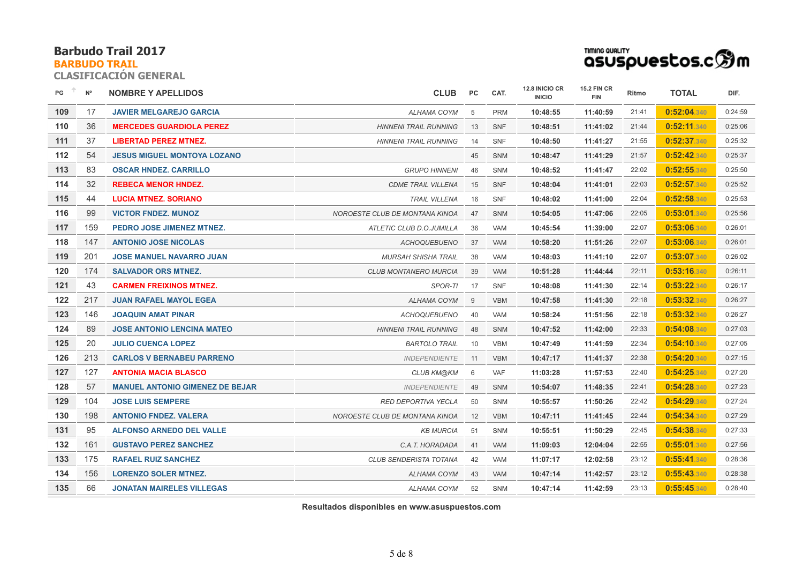#### **BARBUDO TRAIL**

**CLASIFICACIÓN GENERAL**

| TIMING QUALITY |                                                         |
|----------------|---------------------------------------------------------|
|                | asuspuestos.c $\mathbin{\widehat{\otimes}}\mathfrak{m}$ |

| PG  | $N^{\circ}$ | <b>NOMBRE Y APELLIDOS</b>              | <b>CLUB</b>                    | <b>PC</b> | CAT.       | 12.8 INICIO CR<br><b>INICIO</b> | <b>15.2 FIN CR</b><br><b>FIN</b> | Ritmo | <b>TOTAL</b> | DIF.    |
|-----|-------------|----------------------------------------|--------------------------------|-----------|------------|---------------------------------|----------------------------------|-------|--------------|---------|
| 109 | 17          | <b>JAVIER MELGAREJO GARCIA</b>         | ALHAMA COYM                    | 5         | <b>PRM</b> | 10:48:55                        | 11:40:59                         | 21:41 | 0:52:04.340  | 0:24:59 |
| 110 | 36          | <b>MERCEDES GUARDIOLA PEREZ</b>        | <b>HINNENI TRAIL RUNNING</b>   | 13        | <b>SNF</b> | 10:48:51                        | 11:41:02                         | 21:44 | 0:52:11.340  | 0:25:06 |
| 111 | 37          | <b>LIBERTAD PEREZ MTNEZ.</b>           | <b>HINNENI TRAIL RUNNING</b>   | 14        | <b>SNF</b> | 10:48:50                        | 11:41:27                         | 21:55 | 0:52:37.340  | 0:25:32 |
| 112 | 54          | <b>JESUS MIGUEL MONTOYA LOZANO</b>     |                                | 45        | <b>SNM</b> | 10:48:47                        | 11:41:29                         | 21:57 | 0:52:42.340  | 0:25:37 |
| 113 | 83          | <b>OSCAR HNDEZ, CARRILLO</b>           | <b>GRUPO HINNENI</b>           | 46        | <b>SNM</b> | 10:48:52                        | 11:41:47                         | 22:02 | 0:52:55.340  | 0:25:50 |
| 114 | 32          | <b>REBECA MENOR HNDEZ.</b>             | <b>CDME TRAIL VILLENA</b>      | 15        | <b>SNF</b> | 10:48:04                        | 11:41:01                         | 22:03 | 0:52:57.340  | 0:25:52 |
| 115 | 44          | <b>LUCIA MTNEZ, SORIANO</b>            | <b>TRAIL VILLENA</b>           | 16        | <b>SNF</b> | 10:48:02                        | 11:41:00                         | 22:04 | 0:52:58.340  | 0:25:53 |
| 116 | 99          | <b>VICTOR FNDEZ, MUNOZ</b>             | NOROESTE CLUB DE MONTANA KINOA | 47        | <b>SNM</b> | 10:54:05                        | 11:47:06                         | 22:05 | 0:53:01.340  | 0:25:56 |
| 117 | 159         | PEDRO JOSE JIMENEZ MTNEZ.              | ATLETIC CLUB D.O.JUMILLA       | 36        | <b>VAM</b> | 10:45:54                        | 11:39:00                         | 22:07 | 0:53:06.340  | 0:26:01 |
| 118 | 147         | <b>ANTONIO JOSE NICOLAS</b>            | <b>ACHOQUEBUENO</b>            | 37        | <b>VAM</b> | 10:58:20                        | 11:51:26                         | 22:07 | 0:53:06.340  | 0:26:01 |
| 119 | 201         | <b>JOSE MANUEL NAVARRO JUAN</b>        | <b>MURSAH SHISHA TRAIL</b>     | 38        | <b>VAM</b> | 10:48:03                        | 11:41:10                         | 22:07 | 0:53:07.340  | 0:26:02 |
| 120 | 174         | <b>SALVADOR ORS MTNEZ.</b>             | <b>CLUB MONTANERO MURCIA</b>   | 39        | <b>VAM</b> | 10:51:28                        | 11:44:44                         | 22:11 | 0:53:16.340  | 0:26:11 |
| 121 | 43          | <b>CARMEN FREIXINOS MTNEZ.</b>         | SPOR-TI                        | 17        | <b>SNF</b> | 10:48:08                        | 11:41:30                         | 22:14 | 0:53:22.340  | 0:26:17 |
| 122 | 217         | <b>JUAN RAFAEL MAYOL EGEA</b>          | ALHAMA COYM                    | 9         | <b>VBM</b> | 10:47:58                        | 11:41:30                         | 22:18 | 0:53:32.340  | 0:26:27 |
| 123 | 146         | <b>JOAQUIN AMAT PINAR</b>              | <b>ACHOQUEBUENO</b>            | 40        | <b>VAM</b> | 10:58:24                        | 11:51:56                         | 22:18 | 0:53:32.340  | 0:26:27 |
| 124 | 89          | <b>JOSE ANTONIO LENCINA MATEO</b>      | <b>HINNENI TRAIL RUNNING</b>   | 48        | <b>SNM</b> | 10:47:52                        | 11:42:00                         | 22:33 | 0:54:08.340  | 0:27:03 |
| 125 | 20          | <b>JULIO CUENCA LOPEZ</b>              | <b>BARTOLO TRAIL</b>           | 10        | <b>VBM</b> | 10:47:49                        | 11:41:59                         | 22:34 | 0:54:10.340  | 0:27:05 |
| 126 | 213         | <b>CARLOS V BERNABEU PARRENO</b>       | <b>INDEPENDIENTE</b>           | 11        | <b>VBM</b> | 10:47:17                        | 11:41:37                         | 22:38 | 0:54:20.340  | 0:27:15 |
| 127 | 127         | <b>ANTONIA MACIA BLASCO</b>            | CLUB KM@KM                     | 6         | VAF        | 11:03:28                        | 11:57:53                         | 22:40 | 0:54:25.340  | 0:27:20 |
| 128 | 57          | <b>MANUEL ANTONIO GIMENEZ DE BEJAR</b> | <b>INDEPENDIENTE</b>           | 49        | <b>SNM</b> | 10:54:07                        | 11:48:35                         | 22:41 | 0:54:28.340  | 0:27:23 |
| 129 | 104         | <b>JOSE LUIS SEMPERE</b>               | <b>RED DEPORTIVA YECLA</b>     | 50        | <b>SNM</b> | 10:55:57                        | 11:50:26                         | 22:42 | 0:54:29.340  | 0:27:24 |
| 130 | 198         | <b>ANTONIO FNDEZ, VALERA</b>           | NOROESTE CLUB DE MONTANA KINOA | 12        | <b>VBM</b> | 10:47:11                        | 11:41:45                         | 22:44 | 0:54:34.340  | 0:27:29 |
| 131 | 95          | <b>ALFONSO ARNEDO DEL VALLE</b>        | <b>KB MURCIA</b>               | 51        | <b>SNM</b> | 10:55:51                        | 11:50:29                         | 22:45 | 0:54:38.340  | 0:27:33 |
| 132 | 161         | <b>GUSTAVO PEREZ SANCHEZ</b>           | C.A.T. HORADADA                | 41        | <b>VAM</b> | 11:09:03                        | 12:04:04                         | 22:55 | 0:55:01.340  | 0:27:56 |
| 133 | 175         | <b>RAFAEL RUIZ SANCHEZ</b>             | <b>CLUB SENDERISTA TOTANA</b>  | 42        | <b>VAM</b> | 11:07:17                        | 12:02:58                         | 23:12 | 0:55:41.340  | 0:28:36 |
| 134 | 156         | <b>LORENZO SOLER MTNEZ.</b>            | ALHAMA COYM                    | 43        | <b>VAM</b> | 10:47:14                        | 11:42:57                         | 23:12 | 0:55:43.340  | 0:28:38 |
| 135 | 66          | <b>JONATAN MAIRELES VILLEGAS</b>       | ALHAMA COYM                    | 52        | <b>SNM</b> | 10:47:14                        | 11:42:59                         | 23:13 | 0:55:45.340  | 0:28:40 |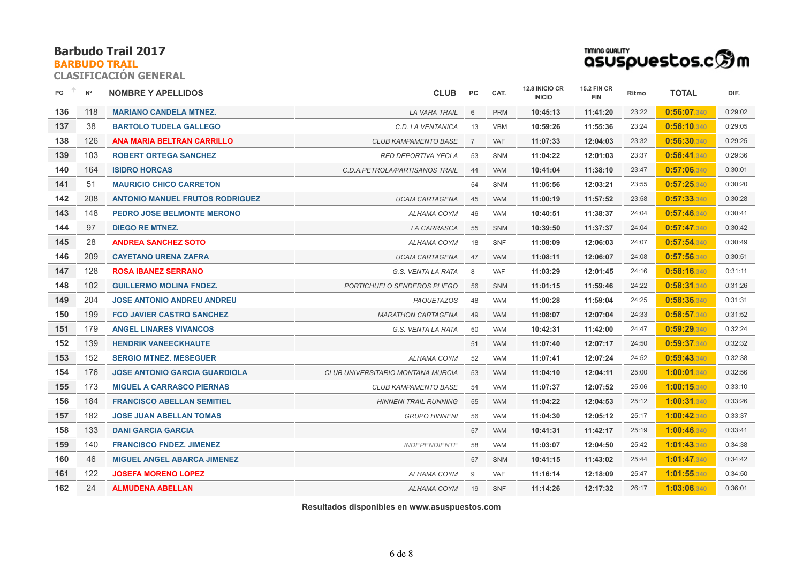#### **BARBUDO TRAIL**

**CLASIFICACIÓN GENERAL**

| TIMING QUALITY                 |  |
|--------------------------------|--|
| asuspuestos.c $\mathfrak{B}$ m |  |

| PG  | $N^{\circ}$ | <b>NOMBRE Y APELLIDOS</b>              | <b>CLUB</b>                       | PC.            | CAT.       | 12.8 INICIO CR<br><b>INICIO</b> | <b>15.2 FIN CR</b><br><b>FIN</b> | Ritmo | <b>TOTAL</b> | DIF.    |
|-----|-------------|----------------------------------------|-----------------------------------|----------------|------------|---------------------------------|----------------------------------|-------|--------------|---------|
| 136 | 118         | <b>MARIANO CANDELA MTNEZ.</b>          | <b>LA VARA TRAIL</b>              | 6              | <b>PRM</b> | 10:45:13                        | 11:41:20                         | 23:22 | 0:56:07.340  | 0:29:02 |
| 137 | 38          | <b>BARTOLO TUDELA GALLEGO</b>          | C.D. LA VENTANICA                 | 13             | <b>VBM</b> | 10:59:26                        | 11:55:36                         | 23:24 | 0:56:10.340  | 0:29:05 |
| 138 | 126         | <b>ANA MARIA BELTRAN CARRILLO</b>      | <b>CLUB KAMPAMENTO BASE</b>       | $\overline{7}$ | <b>VAF</b> | 11:07:33                        | 12:04:03                         | 23:32 | 0:56:30.340  | 0:29:25 |
| 139 | 103         | <b>ROBERT ORTEGA SANCHEZ</b>           | <b>RED DEPORTIVA YECLA</b>        | 53             | <b>SNM</b> | 11:04:22                        | 12:01:03                         | 23:37 | 0:56:41.340  | 0:29:36 |
| 140 | 164         | <b>ISIDRO HORCAS</b>                   | C.D.A.PETROLA/PARTISANOS TRAIL    | 44             | <b>VAM</b> | 10:41:04                        | 11:38:10                         | 23:47 | 0:57:06.340  | 0:30:01 |
| 141 | 51          | <b>MAURICIO CHICO CARRETON</b>         |                                   | 54             | SNM        | 11:05:56                        | 12:03:21                         | 23:55 | 0:57:25.340  | 0:30:20 |
| 142 | 208         | <b>ANTONIO MANUEL FRUTOS RODRIGUEZ</b> | <b>UCAM CARTAGENA</b>             | 45             | <b>VAM</b> | 11:00:19                        | 11:57:52                         | 23:58 | 0:57:33.340  | 0:30:28 |
| 143 | 148         | PEDRO JOSE BELMONTE MERONO             | ALHAMA COYM                       | 46             | VAM        | 10:40:51                        | 11:38:37                         | 24:04 | 0:57:46.340  | 0:30:41 |
| 144 | 97          | <b>DIEGO RE MTNEZ.</b>                 | <b>LA CARRASCA</b>                | 55             | <b>SNM</b> | 10:39:50                        | 11:37:37                         | 24:04 | 0:57:47.340  | 0:30:42 |
| 145 | 28          | <b>ANDREA SANCHEZ SOTO</b>             | ALHAMA COYM                       | 18             | <b>SNF</b> | 11:08:09                        | 12:06:03                         | 24:07 | 0:57:54.340  | 0:30:49 |
| 146 | 209         | <b>CAYETANO URENA ZAFRA</b>            | <b>UCAM CARTAGENA</b>             | 47             | <b>VAM</b> | 11:08:11                        | 12:06:07                         | 24:08 | 0:57:56.340  | 0:30:51 |
| 147 | 128         | <b>ROSA IBANEZ SERRANO</b>             | G.S. VENTA LA RATA                | 8              | <b>VAF</b> | 11:03:29                        | 12:01:45                         | 24:16 | 0:58:16.340  | 0:31:11 |
| 148 | 102         | <b>GUILLERMO MOLINA FNDEZ.</b>         | PORTICHUELO SENDEROS PLIEGO       | 56             | <b>SNM</b> | 11:01:15                        | 11:59:46                         | 24:22 | 0:58:31.340  | 0:31:26 |
| 149 | 204         | <b>JOSE ANTONIO ANDREU ANDREU</b>      | PAQUETAZOS                        | 48             | <b>VAM</b> | 11:00:28                        | 11:59:04                         | 24:25 | 0:58:36.340  | 0:31:31 |
| 150 | 199         | <b>FCO JAVIER CASTRO SANCHEZ</b>       | <b>MARATHON CARTAGENA</b>         | 49             | <b>VAM</b> | 11:08:07                        | 12:07:04                         | 24:33 | 0:58:57.340  | 0:31:52 |
| 151 | 179         | <b>ANGEL LINARES VIVANCOS</b>          | G.S. VENTA LA RATA                | 50             | <b>VAM</b> | 10:42:31                        | 11:42:00                         | 24:47 | 0:59:29.340  | 0:32:24 |
| 152 | 139         | <b>HENDRIK VANEECKHAUTE</b>            |                                   | 51             | VAM        | 11:07:40                        | 12:07:17                         | 24:50 | 0:59:37.340  | 0:32:32 |
| 153 | 152         | <b>SERGIO MTNEZ, MESEGUER</b>          | ALHAMA COYM                       | 52             | <b>VAM</b> | 11:07:41                        | 12:07:24                         | 24:52 | 0:59:43.340  | 0:32:38 |
| 154 | 176         | <b>JOSE ANTONIO GARCIA GUARDIOLA</b>   | CLUB UNIVERSITARIO MONTANA MURCIA | 53             | <b>VAM</b> | 11:04:10                        | 12:04:11                         | 25:00 | 1:00:01.340  | 0:32:56 |
| 155 | 173         | <b>MIGUEL A CARRASCO PIERNAS</b>       | <b>CLUB KAMPAMENTO BASE</b>       | 54             | VAM        | 11:07:37                        | 12:07:52                         | 25:06 | 1:00:15.340  | 0:33:10 |
| 156 | 184         | <b>FRANCISCO ABELLAN SEMITIEL</b>      | <b>HINNENI TRAIL RUNNING</b>      | 55             | <b>VAM</b> | 11:04:22                        | 12:04:53                         | 25:12 | 1:00:31.340  | 0:33:26 |
| 157 | 182         | <b>JOSE JUAN ABELLAN TOMAS</b>         | <b>GRUPO HINNENI</b>              | 56             | <b>VAM</b> | 11:04:30                        | 12:05:12                         | 25:17 | 1:00:42.340  | 0:33:37 |
| 158 | 133         | <b>DANI GARCIA GARCIA</b>              |                                   | 57             | <b>VAM</b> | 10:41:31                        | 11:42:17                         | 25:19 | 1:00:46.340  | 0:33:41 |
| 159 | 140         | <b>FRANCISCO FNDEZ, JIMENEZ</b>        | <b>INDEPENDIENTE</b>              | 58             | VAM        | 11:03:07                        | 12:04:50                         | 25:42 | 1:01:43.340  | 0:34:38 |
| 160 | 46          | <b>MIGUEL ANGEL ABARCA JIMENEZ</b>     |                                   | 57             | SNM        | 10:41:15                        | 11:43:02                         | 25:44 | 1:01:47.340  | 0:34:42 |
| 161 | 122         | <b>JOSEFA MORENO LOPEZ</b>             | <b>ALHAMA COYM</b>                | 9              | <b>VAF</b> | 11:16:14                        | 12:18:09                         | 25:47 | 1:01:55.340  | 0:34:50 |
| 162 | 24          | <b>ALMUDENA ABELLAN</b>                | ALHAMA COYM                       | 19             | <b>SNF</b> | 11:14:26                        | 12:17:32                         | 26:17 | 1:03:06.340  | 0:36:01 |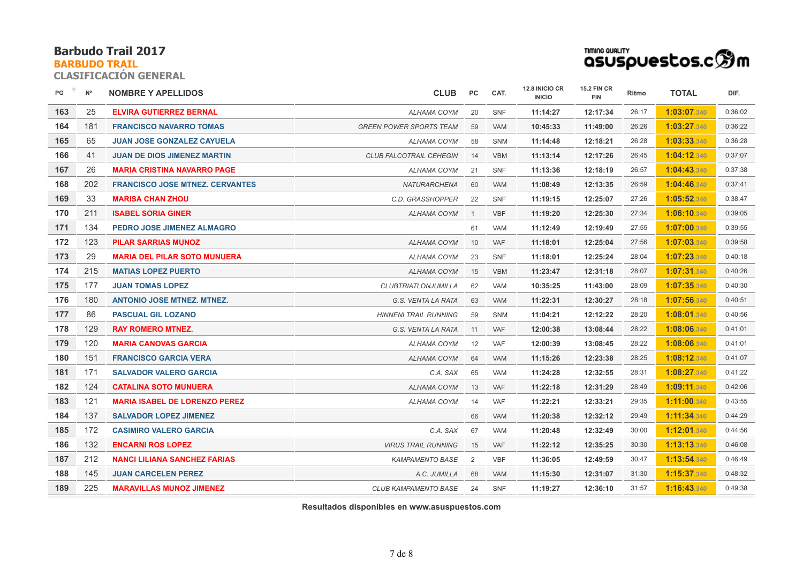## **BARBUDO TRAIL**

**CLASIFICACIÓN GENERAL**

| asuspuestos.c $\mathbin{\widehat{\otimes}}\mathfrak{m}$ |  |
|---------------------------------------------------------|--|

| PG  | $N^{\circ}$ | <b>NOMBRE Y APELLIDOS</b>              | <b>CLUB</b>                    | PC             | CAT.       | 12.8 INICIO CR<br><b>INICIO</b> | <b>15.2 FIN CR</b><br><b>FIN</b> | Ritmo | <b>TOTAL</b>       | DIF.    |
|-----|-------------|----------------------------------------|--------------------------------|----------------|------------|---------------------------------|----------------------------------|-------|--------------------|---------|
| 163 | 25          | <b>ELVIRA GUTIERREZ BERNAL</b>         | ALHAMA COYM                    | 20             | <b>SNF</b> | 11:14:27                        | 12:17:34                         | 26:17 | 1:03:07.340        | 0:36:02 |
| 164 | 181         | <b>FRANCISCO NAVARRO TOMAS</b>         | <b>GREEN POWER SPORTS TEAM</b> | 59             | <b>VAM</b> | 10:45:33                        | 11:49:00                         | 26:26 | 1:03:27.340        | 0:36:22 |
| 165 | 65          | <b>JUAN JOSE GONZALEZ CAYUELA</b>      | ALHAMA COYM                    | 58             | SNM        | 11:14:48                        | 12:18:21                         | 26:28 | 1:03:33.340        | 0:36:28 |
| 166 | 41          | <b>JUAN DE DIOS JIMENEZ MARTIN</b>     | <b>CLUB FALCOTRAIL CEHEGIN</b> | 14             | <b>VBM</b> | 11:13:14                        | 12:17:26                         | 26:45 | 1:04:12.340        | 0:37:07 |
| 167 | 26          | <b>MARIA CRISTINA NAVARRO PAGE</b>     | ALHAMA COYM                    | 21             | <b>SNF</b> | 11:13:36                        | 12:18:19                         | 26:57 | 1:04:43.340        | 0:37:38 |
| 168 | 202         | <b>FRANCISCO JOSE MTNEZ, CERVANTES</b> | <b>NATURARCHENA</b>            | 60             | <b>VAM</b> | 11:08:49                        | 12:13:35                         | 26:59 | <b>1:04:46.340</b> | 0:37:41 |
| 169 | 33          | <b>MARISA CHAN ZHOU</b>                | C.D. GRASSHOPPER               | 22             | SNF        | 11:19:15                        | 12:25:07                         | 27:26 | 1:05:52.340        | 0:38:47 |
| 170 | 211         | <b>ISABEL SORIA GINER</b>              | ALHAMA COYM                    | $\overline{1}$ | <b>VBF</b> | 11:19:20                        | 12:25:30                         | 27:34 | 1:06:10.340        | 0:39:05 |
| 171 | 134         | <b>PEDRO JOSE JIMENEZ ALMAGRO</b>      |                                | 61             | <b>VAM</b> | 11:12:49                        | 12:19:49                         | 27:55 | 1:07:00.340        | 0:39:55 |
| 172 | 123         | <b>PILAR SARRIAS MUNOZ</b>             | <b>ALHAMA COYM</b>             | 10             | <b>VAF</b> | 11:18:01                        | 12:25:04                         | 27:56 | 1:07:03.340        | 0:39:58 |
| 173 | 29          | <b>MARIA DEL PILAR SOTO MUNUERA</b>    | ALHAMA COYM                    | 23             | SNF        | 11:18:01                        | 12:25:24                         | 28:04 | 1:07:23.340        | 0:40:18 |
| 174 | 215         | <b>MATIAS LOPEZ PUERTO</b>             | <b>ALHAMA COYM</b>             | 15             | <b>VBM</b> | 11:23:47                        | 12:31:18                         | 28:07 | 1:07:31.340        | 0:40:26 |
| 175 | 177         | <b>JUAN TOMAS LOPEZ</b>                | <b>CLUBTRIATLONJUMILLA</b>     | 62             | <b>VAM</b> | 10:35:25                        | 11:43:00                         | 28:09 | 1:07:35.340        | 0:40:30 |
| 176 | 180         | <b>ANTONIO JOSE MTNEZ. MTNEZ.</b>      | G.S. VENTA LA RATA             | 63             | <b>VAM</b> | 11:22:31                        | 12:30:27                         | 28:18 | 1:07:56.340        | 0:40:51 |
| 177 | 86          | <b>PASCUAL GIL LOZANO</b>              | <b>HINNENI TRAIL RUNNING</b>   | 59             | <b>SNM</b> | 11:04:21                        | 12:12:22                         | 28:20 | 1:08:01.340        | 0:40:56 |
| 178 | 129         | <b>RAY ROMERO MTNEZ.</b>               | G.S. VENTA LA RATA             | 11             | <b>VAF</b> | 12:00:38                        | 13:08:44                         | 28:22 | 1:08:06.340        | 0:41:01 |
| 179 | 120         | <b>MARIA CANOVAS GARCIA</b>            | <b>ALHAMA COYM</b>             | 12             | VAF        | 12:00:39                        | 13:08:45                         | 28:22 | 1:08:06.340        | 0:41:01 |
| 180 | 151         | <b>FRANCISCO GARCIA VERA</b>           | ALHAMA COYM                    | 64             | <b>VAM</b> | 11:15:26                        | 12:23:38                         | 28:25 | 1:08:12.340        | 0:41:07 |
| 181 | 171         | <b>SALVADOR VALERO GARCIA</b>          | C.A. SAX                       | 65             | <b>VAM</b> | 11:24:28                        | 12:32:55                         | 28:31 | 1:08:27.340        | 0:41:22 |
| 182 | 124         | <b>CATALINA SOTO MUNUERA</b>           | ALHAMA COYM                    | 13             | <b>VAF</b> | 11:22:18                        | 12:31:29                         | 28:49 | 1:09:11.340        | 0:42:06 |
| 183 | 121         | <b>MARIA ISABEL DE LORENZO PEREZ</b>   | ALHAMA COYM                    | 14             | VAF        | 11:22:21                        | 12:33:21                         | 29:35 | 1:11:00.340        | 0:43:55 |
| 184 | 137         | <b>SALVADOR LOPEZ JIMENEZ</b>          |                                | 66             | <b>VAM</b> | 11:20:38                        | 12:32:12                         | 29:49 | 1:11:34.340        | 0:44:29 |
| 185 | 172         | <b>CASIMIRO VALERO GARCIA</b>          | C.A. SAX                       | 67             | <b>VAM</b> | 11:20:48                        | 12:32:49                         | 30:00 | 1:12:01.340        | 0:44:56 |
| 186 | 132         | <b>ENCARNI ROS LOPEZ</b>               | <b>VIRUS TRAIL RUNNING</b>     | 15             | VAF        | 11:22:12                        | 12:35:25                         | 30:30 | 1:13:13.340        | 0:46:08 |
| 187 | 212         | <b>NANCI LILIANA SANCHEZ FARIAS</b>    | <b>KAMPAMENTO BASE</b>         | 2              | <b>VBF</b> | 11:36:05                        | 12:49:59                         | 30:47 | 1:13:54.340        | 0:46:49 |
| 188 | 145         | <b>JUAN CARCELEN PEREZ</b>             | A.C. JUMILLA                   | 68             | <b>VAM</b> | 11:15:30                        | 12:31:07                         | 31:30 | 1:15:37.340        | 0:48:32 |
| 189 | 225         | <b>MARAVILLAS MUNOZ JIMENEZ</b>        | <b>CLUB KAMPAMENTO BASE</b>    | 24             | SNF        | 11:19:27                        | 12:36:10                         | 31:57 | 1:16:43.340        | 0:49:38 |